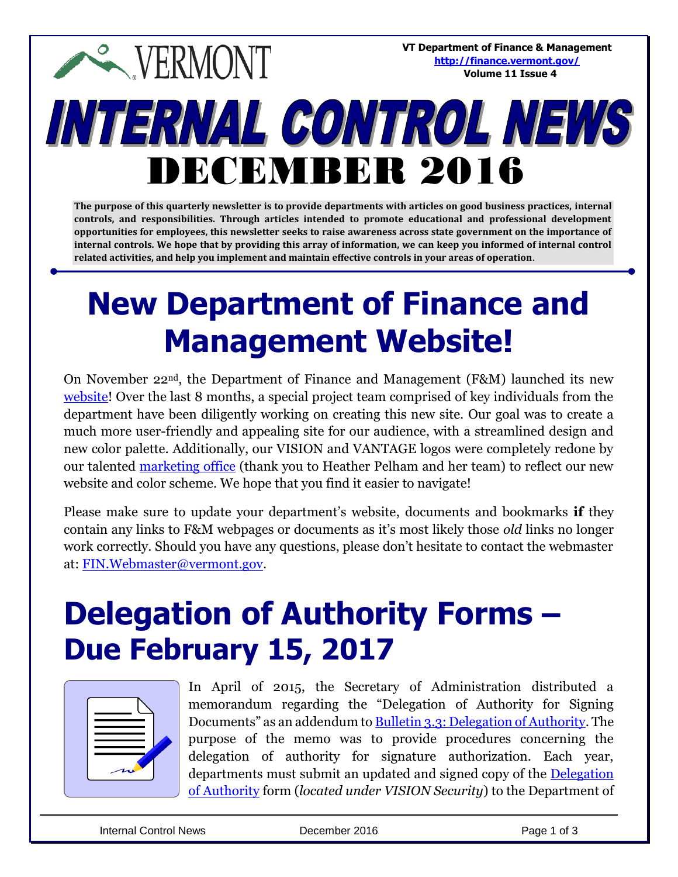**VT Department of Finance & Management <http://finance.vermont.gov/> Volume 11 Issue 4**

# INTERNAL CONTROL NEWS DECEMBER 2016

**EXPERMONT** 

**The purpose of this quarterly newsletter is to provide departments with articles on good business practices, internal controls, and responsibilities. Through articles intended to promote educational and professional development opportunities for employees, this newsletter seeks to raise awareness across state government on the importance of internal controls. We hope that by providing this array of information, we can keep you informed of internal control related activities, and help you implement and maintain effective controls in your areas of operation**.

### **New Department of Finance and Management Website!**

On November 22nd, the Department of Finance and Management (F&M) launched its new [website!](http://finance.vermont.gov/) Over the last 8 months, a special project team comprised of key individuals from the department have been diligently working on creating this new site. Our goal was to create a much more user-friendly and appealing site for our audience, with a streamlined design and new color palette. Additionally, our VISION and VANTAGE logos were completely redone by our talented [marketing office](http://cmo.vermont.gov/) (thank you to Heather Pelham and her team) to reflect our new website and color scheme. We hope that you find it easier to navigate!

Please make sure to update your department's website, documents and bookmarks **if** they contain any links to F&M webpages or documents as it's most likely those *old* links no longer work correctly. Should you have any questions, please don't hesitate to contact the webmaster at: [FIN.Webmaster@vermont.gov.](mailto:FIN.Webmaster@vermont.gov)

#### **Delegation of Authority Forms – Due February 15, 2017**



In April of 2015, the Secretary of Administration distributed a memorandum regarding the "Delegation of Authority for Signing Documents" as an addendum to [Bulletin 3.3: Delegation of Authority.](http://aoa.vermont.gov/bulletins) The purpose of the memo was to provide procedures concerning the delegation of authority for signature authorization. Each year, departments must submit an updated and signed copy of the [Delegation](http://finance.vermont.gov/forms/vision)  [of Authority](http://finance.vermont.gov/forms/vision) form (*located under VISION Security*) to the Department of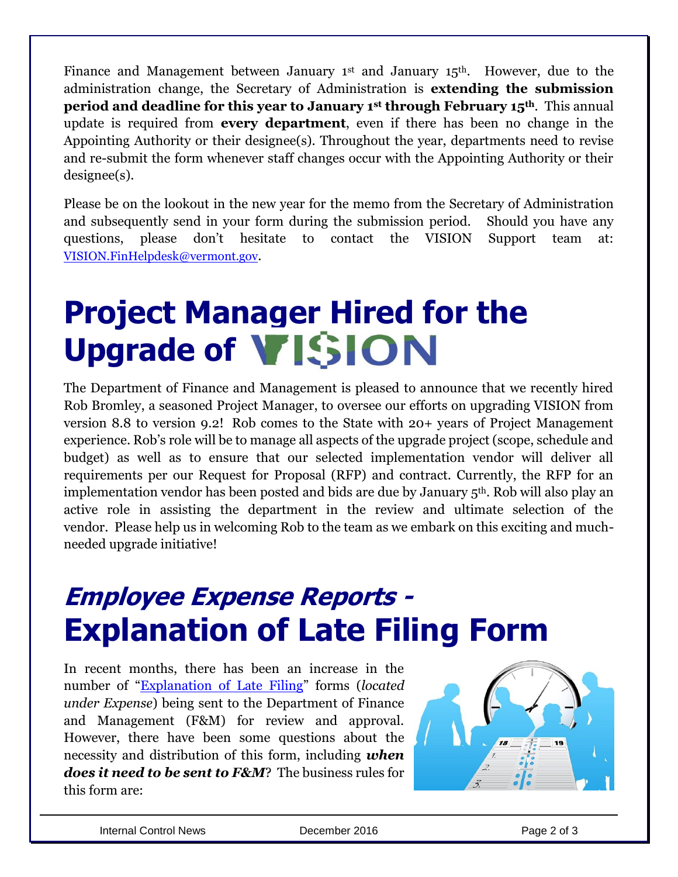Finance and Management between January  $1<sup>st</sup>$  and January  $15<sup>th</sup>$ . However, due to the administration change, the Secretary of Administration is **extending the submission period and deadline for this year to January 1st through February 15th**. This annual update is required from **every department**, even if there has been no change in the Appointing Authority or their designee(s). Throughout the year, departments need to revise and re-submit the form whenever staff changes occur with the Appointing Authority or their designee(s).

Please be on the lookout in the new year for the memo from the Secretary of Administration and subsequently send in your form during the submission period. Should you have any questions, please don't hesitate to contact the VISION Support team at: [VISION.FinHelpdesk@vermont.gov](mailto:VISION.FinHelpdesk@vermont.gov).

## **Project Manager Hired for the**  Upgrade of **VISION**

The Department of Finance and Management is pleased to announce that we recently hired Rob Bromley, a seasoned Project Manager, to oversee our efforts on upgrading VISION from version 8.8 to version 9.2! Rob comes to the State with 20+ years of Project Management experience. Rob's role will be to manage all aspects of the upgrade project (scope, schedule and budget) as well as to ensure that our selected implementation vendor will deliver all requirements per our Request for Proposal (RFP) and contract. Currently, the RFP for an implementation vendor has been posted and bids are due by January 5th. Rob will also play an active role in assisting the department in the review and ultimate selection of the vendor. Please help us in welcoming Rob to the team as we embark on this exciting and muchneeded upgrade initiative!

#### **Employee Expense Reports - Explanation of Late Filing Form**

In recent months, there has been an increase in the number of "[Explanation of Late Filing](http://finance.vermont.gov/forms/vision)" forms (*located under Expense*) being sent to the Department of Finance and Management (F&M) for review and approval. However, there have been some questions about the necessity and distribution of this form, including *when does it need to be sent to F&M*? The business rules for this form are: